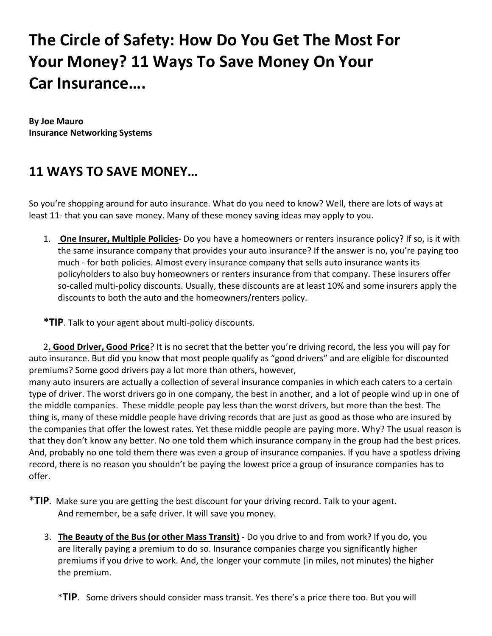## **The Circle of Safety: How Do You Get The Most For Your Money? 11 Ways To Save Money On Your Car Insurance….**

**By Joe Mauro Insurance Networking Systems**

## **11 WAYS TO SAVE MONEY…**

So you're shopping around for auto insurance. What do you need to know? Well, there are lots of ways at least 11- that you can save money. Many of these money saving ideas may apply to you.

1. **One Insurer, Multiple Policies**‐ Do you have a homeowners or renters insurance policy? If so, is it with the same insurance company that provides your auto insurance? If the answer is no, you're paying too much ‐ for both policies. Almost every insurance company that sells auto insurance wants its policyholders to also buy homeowners or renters insurance from that company. These insurers offer so-called multi-policy discounts. Usually, these discounts are at least 10% and some insurers apply the discounts to both the auto and the homeowners/renters policy.

**\*TIP**. Talk to your agent about multi‐policy discounts.

2**. Good Driver, Good Price**? It is no secret that the better you're driving record, the less you will pay for auto insurance. But did you know that most people qualify as "good drivers" and are eligible for discounted premiums? Some good drivers pay a lot more than others, however,

many auto insurers are actually a collection of several insurance companies in which each caters to a certain type of driver. The worst drivers go in one company, the best in another, and a lot of people wind up in one of the middle companies. These middle people pay less than the worst drivers, but more than the best. The thing is, many of these middle people have driving records that are just as good as those who are insured by the companies that offer the lowest rates. Yet these middle people are paying more. Why? The usual reason is that they don't know any better. No one told them which insurance company in the group had the best prices. And, probably no one told them there was even a group of insurance companies. If you have a spotless driving record, there is no reason you shouldn't be paying the lowest price a group of insurance companies has to offer.

- \***TIP**. Make sure you are getting the best discount for your driving record. Talk to your agent. And remember, be a safe driver. It will save you money.
	- 3. **The Beauty of the Bus (or other Mass Transit)** ‐ Do you drive to and from work? If you do, you are literally paying a premium to do so. Insurance companies charge you significantly higher premiums if you drive to work. And, the longer your commute (in miles, not minutes) the higher the premium.
		- \***TIP**. Some drivers should consider mass transit. Yes there's a price there too. But you will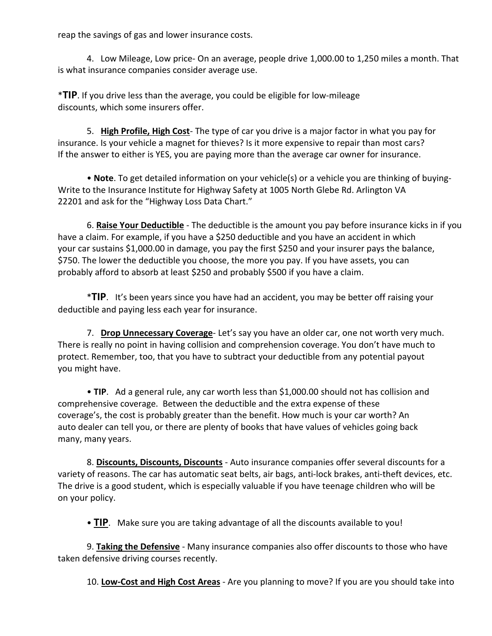reap the savings of gas and lower insurance costs.

4. Low Mileage, Low price‐ On an average, people drive 1,000.00 to 1,250 miles a month. That is what insurance companies consider average use.

\***TIP**. If you drive less than the average, you could be eligible for low‐mileage discounts, which some insurers offer.

5. **High Profile, High Cost**‐ The type of car you drive is a major factor in what you pay for insurance. Is your vehicle a magnet for thieves? Is it more expensive to repair than most cars? If the answer to either is YES, you are paying more than the average car owner for insurance.

• **Note**. To get detailed information on your vehicle(s) or a vehicle you are thinking of buying‐ Write to the Insurance Institute for Highway Safety at 1005 North Glebe Rd. Arlington VA 22201 and ask for the "Highway Loss Data Chart."

6. **Raise Your Deductible** ‐ The deductible is the amount you pay before insurance kicks in if you have a claim. For example, if you have a \$250 deductible and you have an accident in which your car sustains \$1,000.00 in damage, you pay the first \$250 and your insurer pays the balance, \$750. The lower the deductible you choose, the more you pay. If you have assets, you can probably afford to absorb at least \$250 and probably \$500 if you have a claim.

\***TIP**. It's been years since you have had an accident, you may be better off raising your deductible and paying less each year for insurance.

7. **Drop Unnecessary Coverage**‐ Let's say you have an older car, one not worth very much. There is really no point in having collision and comprehension coverage. You don't have much to protect. Remember, too, that you have to subtract your deductible from any potential payout you might have.

• **TIP**. Ad a general rule, any car worth less than \$1,000.00 should not has collision and comprehensive coverage. Between the deductible and the extra expense of these coverage's, the cost is probably greater than the benefit. How much is your car worth? An auto dealer can tell you, or there are plenty of books that have values of vehicles going back many, many years.

8. **Discounts, Discounts, Discounts** ‐ Auto insurance companies offer several discounts for a variety of reasons. The car has automatic seat belts, air bags, anti-lock brakes, anti-theft devices, etc. The drive is a good student, which is especially valuable if you have teenage children who will be on your policy.

• **TIP**. Make sure you are taking advantage of all the discounts available to you!

9. **Taking the Defensive** ‐ Many insurance companies also offer discounts to those who have taken defensive driving courses recently.

10. **Low‐Cost and High Cost Areas** ‐ Are you planning to move? If you are you should take into